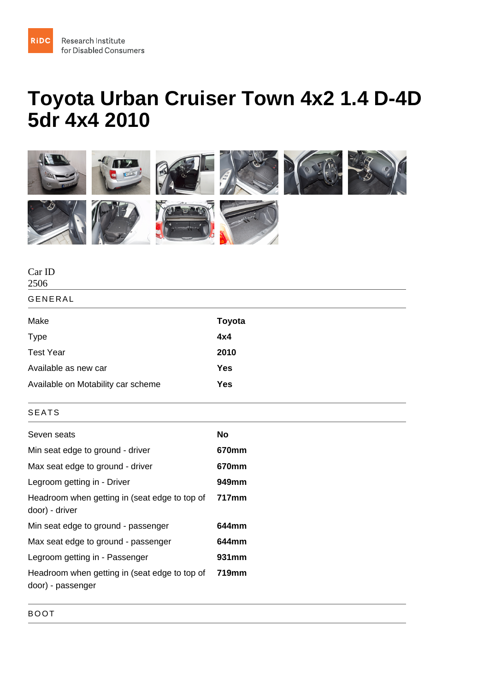## Toyota Urban Cruiser Town 4x2 1.4 D-4D 5dr 4x4 2010

| Car ID<br>2506                                                     |        |
|--------------------------------------------------------------------|--------|
| <b>GENERAL</b>                                                     |        |
| Make                                                               | Toyota |
| <b>Type</b>                                                        | 4x4    |
| <b>Test Year</b>                                                   | 2010   |
| Available as new car                                               | Yes    |
| Available on Motability car scheme                                 | Yes    |
| <b>SEATS</b>                                                       |        |
| Seven seats                                                        | No     |
| Min seat edge to ground - driver                                   | 670mm  |
| Max seat edge to ground - driver                                   | 670mm  |
| Legroom getting in - Driver                                        | 949mm  |
| Headroom when getting in (seat edge to top of<br>door) - driver    | 717mm  |
| Min seat edge to ground - passenger                                | 644mm  |
| Max seat edge to ground - passenger                                | 644mm  |
| Legroom getting in - Passenger                                     | 931mm  |
| Headroom when getting in (seat edge to top of<br>door) - passenger | 719mm  |